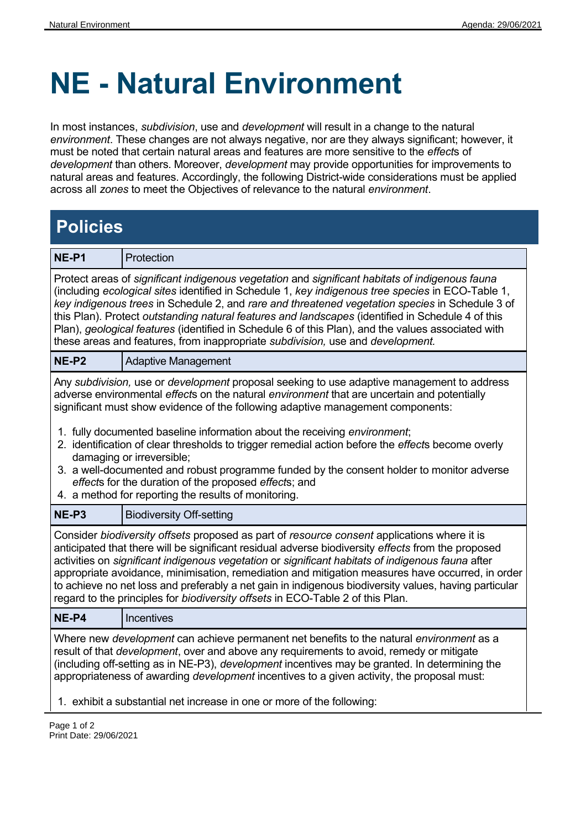## **NE - Natural Environment**

In most instances, *subdivision*, use and *development* will result in a change to the natural *environment*. These changes are not always negative, nor are they always significant; however, it must be noted that certain natural areas and features are more sensitive to the *effect*s of *development* than others. Moreover, *development* may provide opportunities for improvements to natural areas and features. Accordingly, the following District-wide considerations must be applied across all *zones* to meet the Objectives of relevance to the natural *environment*.

| <b>Policies</b>                                                                                                                                                                                                                                                                                                                                                                                                                                                                                                                                                                                                                                                                                           |                                 |
|-----------------------------------------------------------------------------------------------------------------------------------------------------------------------------------------------------------------------------------------------------------------------------------------------------------------------------------------------------------------------------------------------------------------------------------------------------------------------------------------------------------------------------------------------------------------------------------------------------------------------------------------------------------------------------------------------------------|---------------------------------|
| NE-P1                                                                                                                                                                                                                                                                                                                                                                                                                                                                                                                                                                                                                                                                                                     | Protection                      |
| Protect areas of significant indigenous vegetation and significant habitats of indigenous fauna<br>(including ecological sites identified in Schedule 1, key indigenous tree species in ECO-Table 1,<br>key indigenous trees in Schedule 2, and rare and threatened vegetation species in Schedule 3 of<br>this Plan). Protect outstanding natural features and landscapes (identified in Schedule 4 of this<br>Plan), geological features (identified in Schedule 6 of this Plan), and the values associated with<br>these areas and features, from inappropriate subdivision, use and development.                                                                                                      |                                 |
| NE-P2                                                                                                                                                                                                                                                                                                                                                                                                                                                                                                                                                                                                                                                                                                     | <b>Adaptive Management</b>      |
| Any subdivision, use or development proposal seeking to use adaptive management to address<br>adverse environmental effects on the natural environment that are uncertain and potentially<br>significant must show evidence of the following adaptive management components:<br>1. fully documented baseline information about the receiving environment;<br>2. identification of clear thresholds to trigger remedial action before the effects become overly<br>damaging or irreversible;<br>3. a well-documented and robust programme funded by the consent holder to monitor adverse<br>effects for the duration of the proposed effects; and<br>4. a method for reporting the results of monitoring. |                                 |
| NE-P3                                                                                                                                                                                                                                                                                                                                                                                                                                                                                                                                                                                                                                                                                                     | <b>Biodiversity Off-setting</b> |
| Consider biodiversity offsets proposed as part of resource consent applications where it is<br>anticipated that there will be significant residual adverse biodiversity effects from the proposed<br>activities on significant indigenous vegetation or significant habitats of indigenous fauna after<br>appropriate avoidance, minimisation, remediation and mitigation measures have occurred, in order<br>to achieve no net loss and preferably a net gain in indigenous biodiversity values, having particular<br>regard to the principles for biodiversity offsets in ECO-Table 2 of this Plan.                                                                                                     |                                 |
| NE-P4                                                                                                                                                                                                                                                                                                                                                                                                                                                                                                                                                                                                                                                                                                     | <b>Incentives</b>               |
| Where new <i>development</i> can achieve permanent net benefits to the natural environment as a<br>result of that development, over and above any requirements to avoid, remedy or mitigate<br>(including off-setting as in NE-P3), <i>development</i> incentives may be granted. In determining the<br>appropriateness of awarding development incentives to a given activity, the proposal must:<br>1. exhibit a substantial net increase in one or more of the following:                                                                                                                                                                                                                              |                                 |